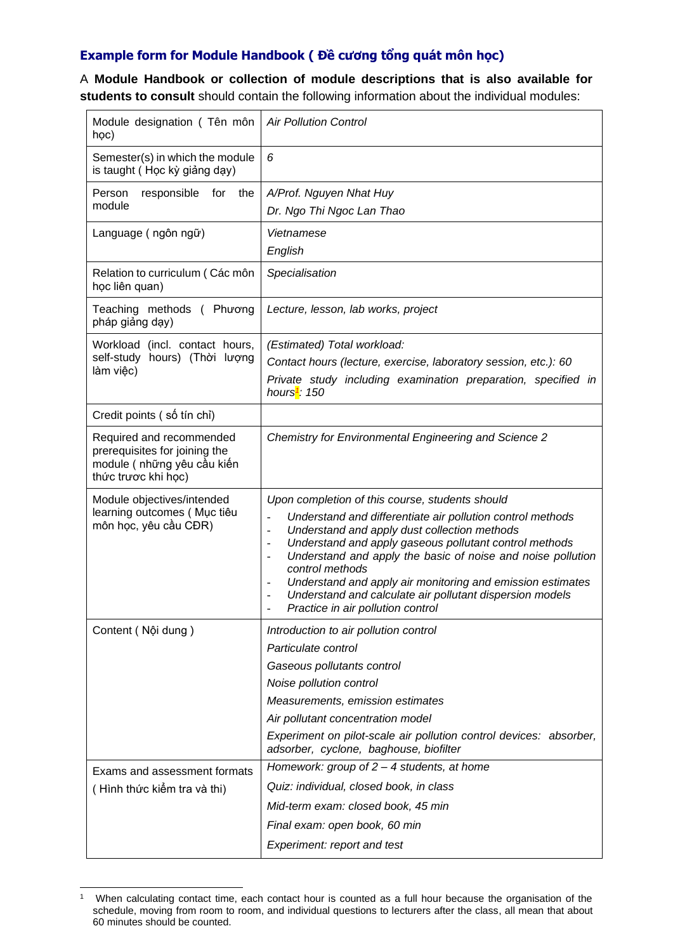## **Example form for Module Handbook ( Đề cương tổng quát môn học)**

A **Module Handbook or collection of module descriptions that is also available for students to consult** should contain the following information about the individual modules:

| Module designation (Tên môn<br>học)                                                                             | <b>Air Pollution Control</b>                                                                                                                                                                                                                                                                                                                                                                                                                                                                                                          |
|-----------------------------------------------------------------------------------------------------------------|---------------------------------------------------------------------------------------------------------------------------------------------------------------------------------------------------------------------------------------------------------------------------------------------------------------------------------------------------------------------------------------------------------------------------------------------------------------------------------------------------------------------------------------|
| Semester(s) in which the module<br>is taught (Học kỳ giảng dạy)                                                 | 6                                                                                                                                                                                                                                                                                                                                                                                                                                                                                                                                     |
| Person<br>responsible<br>for<br>the                                                                             | A/Prof. Nguyen Nhat Huy                                                                                                                                                                                                                                                                                                                                                                                                                                                                                                               |
| module                                                                                                          | Dr. Ngo Thi Ngoc Lan Thao                                                                                                                                                                                                                                                                                                                                                                                                                                                                                                             |
| Language (ngôn ngữ)                                                                                             | Vietnamese                                                                                                                                                                                                                                                                                                                                                                                                                                                                                                                            |
|                                                                                                                 | English                                                                                                                                                                                                                                                                                                                                                                                                                                                                                                                               |
| Relation to curriculum (Các môn<br>học liên quan)                                                               | Specialisation                                                                                                                                                                                                                                                                                                                                                                                                                                                                                                                        |
| Teaching methods (Phương<br>pháp giảng dạy)                                                                     | Lecture, lesson, lab works, project                                                                                                                                                                                                                                                                                                                                                                                                                                                                                                   |
| Workload (incl. contact hours,                                                                                  | (Estimated) Total workload:                                                                                                                                                                                                                                                                                                                                                                                                                                                                                                           |
| self-study hours) (Thời lượng<br>làm việc)                                                                      | Contact hours (lecture, exercise, laboratory session, etc.): 60                                                                                                                                                                                                                                                                                                                                                                                                                                                                       |
|                                                                                                                 | Private study including examination preparation, specified in<br>hours <sup>1</sup> : 150                                                                                                                                                                                                                                                                                                                                                                                                                                             |
| Credit points (số tín chỉ)                                                                                      |                                                                                                                                                                                                                                                                                                                                                                                                                                                                                                                                       |
| Required and recommended<br>prerequisites for joining the<br>module ( những yêu cầu kiến<br>thức trược khi học) | <b>Chemistry for Environmental Engineering and Science 2</b>                                                                                                                                                                                                                                                                                                                                                                                                                                                                          |
| Module objectives/intended                                                                                      | Upon completion of this course, students should                                                                                                                                                                                                                                                                                                                                                                                                                                                                                       |
| learning outcomes (Muc tiêu<br>môn học, yêu cầu CĐR)                                                            | Understand and differentiate air pollution control methods<br>$\Box$<br>Understand and apply dust collection methods<br>$\blacksquare$<br>Understand and apply gaseous pollutant control methods<br>$\overline{\phantom{a}}$<br>Understand and apply the basic of noise and noise pollution<br>$\overline{\phantom{a}}$<br>control methods<br>Understand and apply air monitoring and emission estimates<br>Understand and calculate air pollutant dispersion models<br>Practice in air pollution control<br>$\overline{\phantom{a}}$ |
| Content (Nội dung)                                                                                              | Introduction to air pollution control                                                                                                                                                                                                                                                                                                                                                                                                                                                                                                 |
|                                                                                                                 | Particulate control                                                                                                                                                                                                                                                                                                                                                                                                                                                                                                                   |
|                                                                                                                 | Gaseous pollutants control                                                                                                                                                                                                                                                                                                                                                                                                                                                                                                            |
|                                                                                                                 | Noise pollution control                                                                                                                                                                                                                                                                                                                                                                                                                                                                                                               |
|                                                                                                                 | Measurements, emission estimates                                                                                                                                                                                                                                                                                                                                                                                                                                                                                                      |
|                                                                                                                 | Air pollutant concentration model                                                                                                                                                                                                                                                                                                                                                                                                                                                                                                     |
|                                                                                                                 | Experiment on pilot-scale air pollution control devices: absorber,<br>adsorber, cyclone, baghouse, biofilter                                                                                                                                                                                                                                                                                                                                                                                                                          |
| Exams and assessment formats                                                                                    | Homework: group of $2 - 4$ students, at home                                                                                                                                                                                                                                                                                                                                                                                                                                                                                          |
| (Hình thức kiếm tra và thi)                                                                                     | Quiz: individual, closed book, in class                                                                                                                                                                                                                                                                                                                                                                                                                                                                                               |
|                                                                                                                 | Mid-term exam: closed book, 45 min                                                                                                                                                                                                                                                                                                                                                                                                                                                                                                    |
|                                                                                                                 | Final exam: open book, 60 min                                                                                                                                                                                                                                                                                                                                                                                                                                                                                                         |
|                                                                                                                 | Experiment: report and test                                                                                                                                                                                                                                                                                                                                                                                                                                                                                                           |

<sup>1</sup> When calculating contact time, each contact hour is counted as a full hour because the organisation of the schedule, moving from room to room, and individual questions to lecturers after the class, all mean that about 60 minutes should be counted.